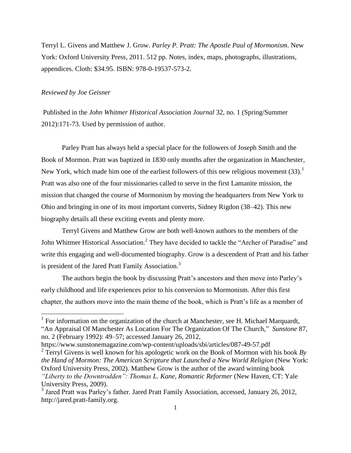Terryl L. Givens and Matthew J. Grow. *Parley P. Pratt: The Apostle Paul of Mormonism*. New York: Oxford University Press, 2011. 512 pp. Notes, index, maps, photographs, illustrations, appendices. Cloth: \$34.95. ISBN: 978-0-19537-573-2.

## *Reviewed by Joe Geisner*

l

Published in the *John Whitmer Historical Association Journal* 32, no. 1 (Spring/Summer 2012):171-73. Used by permission of author.

Parley Pratt has always held a special place for the followers of Joseph Smith and the Book of Mormon. Pratt was baptized in 1830 only months after the organization in Manchester, New York, which made him one of the earliest followers of this new religious movement  $(33)$ .<sup>1</sup> Pratt was also one of the four missionaries called to serve in the first Lamanite mission, the mission that changed the course of Mormonism by moving the headquarters from New York to Ohio and bringing in one of its most important converts, Sidney Rigdon (38–42). This new biography details all these exciting events and plenty more.

Terryl Givens and Matthew Grow are both well-known authors to the members of the John Whitmer Historical Association.<sup>2</sup> They have decided to tackle the "Archer of Paradise" and write this engaging and well-documented biography. Grow is a descendent of Pratt and his father is president of the Jared Pratt Family Association.<sup>3</sup>

The authors begin the book by discussing Pratt's ancestors and then move into Parley's early childhood and life experiences prior to his conversion to Mormonism. After this first chapter, the authors move into the main theme of the book, which is Pratt's life as a member of

2 Terryl Givens is well known for his apologetic work on the Book of Mormon with his book *By the Hand of Mormon: The American Scripture that Launched a New World Religion* (New York: Oxford University Press, 2002). Matthew Grow is the author of the award winning book *"Liberty to the Downtrodden": Thomas L. Kane, Romantic Reformer* (New Haven, CT: Yale University Press, 2009).

<sup>&</sup>lt;sup>1</sup> For information on the organization of the church at Manchester, see H. Michael Marquardt, "An Appraisal Of Manchester As Location For The Organization Of The Church," *Sunstone* 87, no. 2 (February 1992): 49–57; accessed January 26, 2012,

https://www.sunstonemagazine.com/wp-content/uploads/sbi/articles/087-49-57.pdf

<sup>&</sup>lt;sup>3</sup> Jared Pratt was Parley's father. Jared Pratt Family Association, accessed, January 26, 2012, http://jared.pratt-family.org.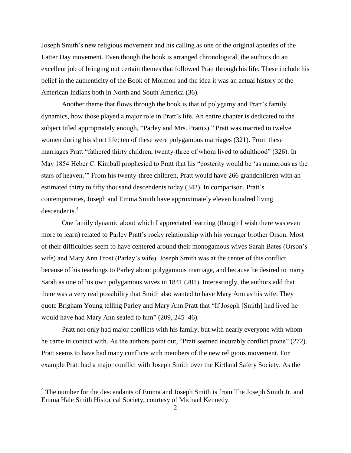Joseph Smith's new religious movement and his calling as one of the original apostles of the Latter Day movement. Even though the book is arranged chronological, the authors do an excellent job of bringing out certain themes that followed Pratt through his life. These include his belief in the authenticity of the Book of Mormon and the idea it was an actual history of the American Indians both in North and South America (36).

Another theme that flows through the book is that of polygamy and Pratt's family dynamics, how those played a major role in Pratt's life. An entire chapter is dedicated to the subject titled appropriately enough, "Parley and Mrs. Pratt(s)." Pratt was married to twelve women during his short life; ten of these were polygamous marriages (321). From these marriages Pratt "fathered thirty children, twenty-three of whom lived to adulthood" (326). In May 1854 Heber C. Kimball prophesied to Pratt that his "posterity would be 'as numerous as the stars of heaven.'" From his twenty-three children, Pratt would have 266 grandchildren with an estimated thirty to fifty thousand descendents today (342). In comparison, Pratt's contemporaries, Joseph and Emma Smith have approximately eleven hundred living descendents.<sup>4</sup>

One family dynamic about which I appreciated learning (though I wish there was even more to learn) related to Parley Pratt's rocky relationship with his younger brother Orson. Most of their difficulties seem to have centered around their monogamous wives Sarah Bates (Orson's wife) and Mary Ann Frost (Parley's wife). Joseph Smith was at the center of this conflict because of his teachings to Parley about polygamous marriage, and because he desired to marry Sarah as one of his own polygamous wives in 1841 (201). Interestingly, the authors add that there was a very real possibility that Smith also wanted to have Mary Ann as his wife. They quote Brigham Young telling Parley and Mary Ann Pratt that "If Joseph [Smith] had lived he would have had Mary Ann sealed to him" (209, 245–46).

Pratt not only had major conflicts with his family, but with nearly everyone with whom he came in contact with. As the authors point out, "Pratt seemed incurably conflict prone" (272). Pratt seems to have had many conflicts with members of the new religious movement. For example Pratt had a major conflict with Joseph Smith over the Kirtland Safety Society. As the

 $\overline{\phantom{a}}$ 

<sup>&</sup>lt;sup>4</sup> The number for the descendants of Emma and Joseph Smith is from The Joseph Smith Jr. and Emma Hale Smith Historical Society, courtesy of Michael Kennedy.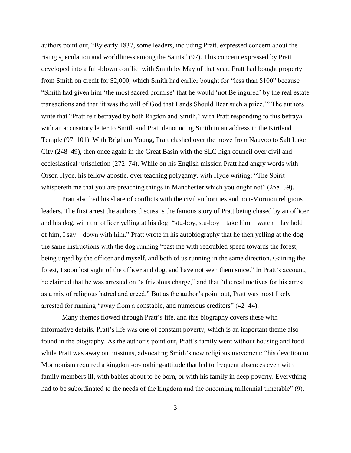authors point out, "By early 1837, some leaders, including Pratt, expressed concern about the rising speculation and worldliness among the Saints" (97). This concern expressed by Pratt developed into a full-blown conflict with Smith by May of that year. Pratt had bought property from Smith on credit for \$2,000, which Smith had earlier bought for "less than \$100" because "Smith had given him 'the most sacred promise' that he would 'not Be ingured' by the real estate transactions and that 'it was the will of God that Lands Should Bear such a price.'" The authors write that "Pratt felt betrayed by both Rigdon and Smith," with Pratt responding to this betrayal with an accusatory letter to Smith and Pratt denouncing Smith in an address in the Kirtland Temple (97–101). With Brigham Young, Pratt clashed over the move from Nauvoo to Salt Lake City (248–49), then once again in the Great Basin with the SLC high council over civil and ecclesiastical jurisdiction (272–74). While on his English mission Pratt had angry words with Orson Hyde, his fellow apostle, over teaching polygamy, with Hyde writing: "The Spirit whispereth me that you are preaching things in Manchester which you ought not" (258–59).

Pratt also had his share of conflicts with the civil authorities and non-Mormon religious leaders. The first arrest the authors discuss is the famous story of Pratt being chased by an officer and his dog, with the officer yelling at his dog: "stu-boy, stu-boy—take him—watch—lay hold of him, I say—down with him." Pratt wrote in his autobiography that he then yelling at the dog the same instructions with the dog running "past me with redoubled speed towards the forest; being urged by the officer and myself, and both of us running in the same direction. Gaining the forest, I soon lost sight of the officer and dog, and have not seen them since." In Pratt's account, he claimed that he was arrested on "a frivolous charge," and that "the real motives for his arrest as a mix of religious hatred and greed." But as the author's point out, Pratt was most likely arrested for running "away from a constable, and numerous creditors" (42–44).

Many themes flowed through Pratt's life, and this biography covers these with informative details. Pratt's life was one of constant poverty, which is an important theme also found in the biography. As the author's point out, Pratt's family went without housing and food while Pratt was away on missions, advocating Smith's new religious movement; "his devotion to Mormonism required a kingdom-or-nothing-attitude that led to frequent absences even with family members ill, with babies about to be born, or with his family in deep poverty. Everything had to be subordinated to the needs of the kingdom and the oncoming millennial timetable" (9).